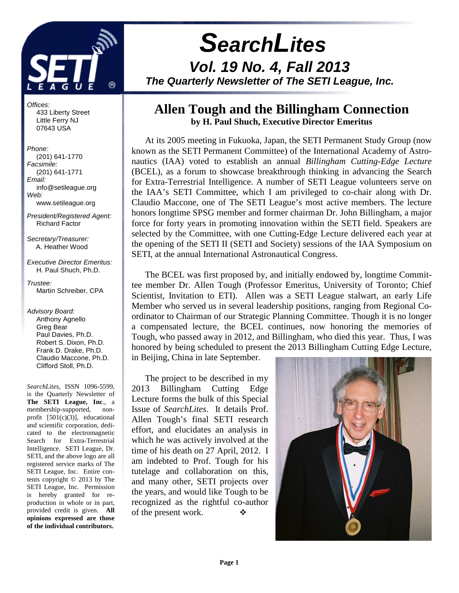

Offices: 433 Liberty Street Little Ferry NJ 07643 USA

Phone: (201) 641-1770 Facsimile: (201) 641-1771 Email: info@setileague.org Web: www.setileague.org

President/Registered Agent: Richard Factor

Secretary/Treasurer: A. Heather Wood

Executive Director Emeritus: H. Paul Shuch, Ph.D.

Trustee<sup>.</sup> Martin Schreiber, CPA

Advisory Board: Anthony Agnello Greg Bear Paul Davies, Ph.D. Robert S. Dixon, Ph.D. Frank D. Drake, Ph.D. Claudio Maccone, Ph.D. Clifford Stoll, Ph.D.

*SearchLites*, ISSN 1096-5599, is the Quarterly Newsletter of **The SETI League, Inc**., a membership-supported, nonprofit [501(c)(3)], educational and scientific corporation, dedicated to the electromagnetic Search for Extra-Terrestrial Intelligence. SETI League, Dr. SETI, and the above logo are all registered service marks of The SETI League, Inc. Entire contents copyright © 2013 by The SETI League, Inc. Permission is hereby granted for reproduction in whole or in part, provided credit is given. **All opinions expressed are those of the individual contributors.** 

# **SearchLites Vol. 19 No. 4, Fall 2013 The Quarterly Newsletter of The SETI League, Inc.**

## **Allen Tough and the Billingham Connection by H. Paul Shuch, Executive Director Emeritus**

At its 2005 meeting in Fukuoka, Japan, the SETI Permanent Study Group (now known as the SETI Permanent Committee) of the International Academy of Astronautics (IAA) voted to establish an annual *Billingham Cutting-Edge Lecture*  (BCEL), as a forum to showcase breakthrough thinking in advancing the Search for Extra-Terrestrial Intelligence. A number of SETI League volunteers serve on the IAA's SETI Committee, which I am privileged to co-chair along with Dr. Claudio Maccone, one of The SETI League's most active members. The lecture honors longtime SPSG member and former chairman Dr. John Billingham, a major force for forty years in promoting innovation within the SETI field. Speakers are selected by the Committee, with one Cutting-Edge Lecture delivered each year at the opening of the SETI II (SETI and Society) sessions of the IAA Symposium on SETI, at the annual International Astronautical Congress.

The BCEL was first proposed by, and initially endowed by, longtime Committee member Dr. Allen Tough (Professor Emeritus, University of Toronto; Chief Scientist, Invitation to ETI). Allen was a SETI League stalwart, an early Life Member who served us in several leadership positions, ranging from Regional Coordinator to Chairman of our Strategic Planning Committee. Though it is no longer a compensated lecture, the BCEL continues, now honoring the memories of Tough, who passed away in 2012, and Billingham, who died this year. Thus, I was honored by being scheduled to present the 2013 Billingham Cutting Edge Lecture, in Beijing, China in late September.

The project to be described in my 2013 Billingham Cutting Edge Lecture forms the bulk of this Special Issue of *SearchLites*. It details Prof. Allen Tough's final SETI research effort, and elucidates an analysis in which he was actively involved at the time of his death on 27 April, 2012. I am indebted to Prof. Tough for his tutelage and collaboration on this, and many other, SETI projects over the years, and would like Tough to be recognized as the rightful co-author of the present work.  $\bullet$ 

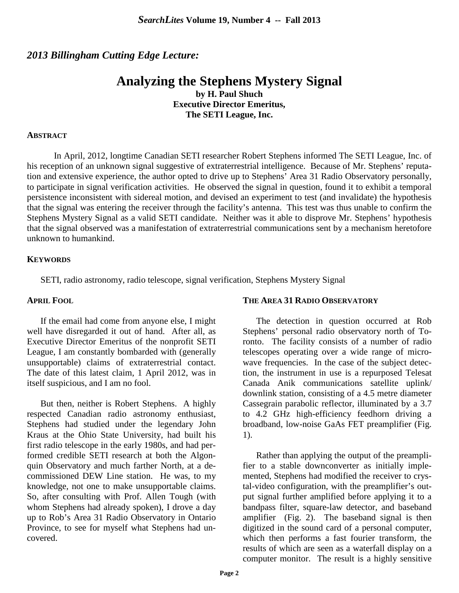### *2013 Billingham Cutting Edge Lecture:*

## **Analyzing the Stephens Mystery Signal**

**by H. Paul Shuch Executive Director Emeritus, The SETI League, Inc.** 

#### **ABSTRACT**

 In April, 2012, longtime Canadian SETI researcher Robert Stephens informed The SETI League, Inc. of his reception of an unknown signal suggestive of extraterrestrial intelligence. Because of Mr. Stephens' reputation and extensive experience, the author opted to drive up to Stephens' Area 31 Radio Observatory personally, to participate in signal verification activities. He observed the signal in question, found it to exhibit a temporal persistence inconsistent with sidereal motion, and devised an experiment to test (and invalidate) the hypothesis that the signal was entering the receiver through the facility's antenna. This test was thus unable to confirm the Stephens Mystery Signal as a valid SETI candidate. Neither was it able to disprove Mr. Stephens' hypothesis that the signal observed was a manifestation of extraterrestrial communications sent by a mechanism heretofore unknown to humankind.

#### **KEYWORDS**

SETI, radio astronomy, radio telescope, signal verification, Stephens Mystery Signal

#### **APRIL FOOL**

If the email had come from anyone else, I might well have disregarded it out of hand. After all, as Executive Director Emeritus of the nonprofit SETI League, I am constantly bombarded with (generally unsupportable) claims of extraterrestrial contact. The date of this latest claim, 1 April 2012, was in itself suspicious, and I am no fool.

But then, neither is Robert Stephens. A highly respected Canadian radio astronomy enthusiast, Stephens had studied under the legendary John Kraus at the Ohio State University, had built his first radio telescope in the early 1980s, and had performed credible SETI research at both the Algonquin Observatory and much farther North, at a decommissioned DEW Line station. He was, to my knowledge, not one to make unsupportable claims. So, after consulting with Prof. Allen Tough (with whom Stephens had already spoken), I drove a day up to Rob's Area 31 Radio Observatory in Ontario Province, to see for myself what Stephens had uncovered.

#### **THE AREA 31 RADIO OBSERVATORY**

The detection in question occurred at Rob Stephens' personal radio observatory north of Toronto. The facility consists of a number of radio telescopes operating over a wide range of microwave frequencies. In the case of the subject detection, the instrument in use is a repurposed Telesat Canada Anik communications satellite uplink/ downlink station, consisting of a 4.5 metre diameter Cassegrain parabolic reflector, illuminated by a 3.7 to 4.2 GHz high-efficiency feedhorn driving a broadband, low-noise GaAs FET preamplifier (Fig. 1).

Rather than applying the output of the preamplifier to a stable downconverter as initially implemented, Stephens had modified the receiver to crystal-video configuration, with the preamplifier's output signal further amplified before applying it to a bandpass filter, square-law detector, and baseband amplifier (Fig. 2). The baseband signal is then digitized in the sound card of a personal computer, which then performs a fast fourier transform, the results of which are seen as a waterfall display on a computer monitor. The result is a highly sensitive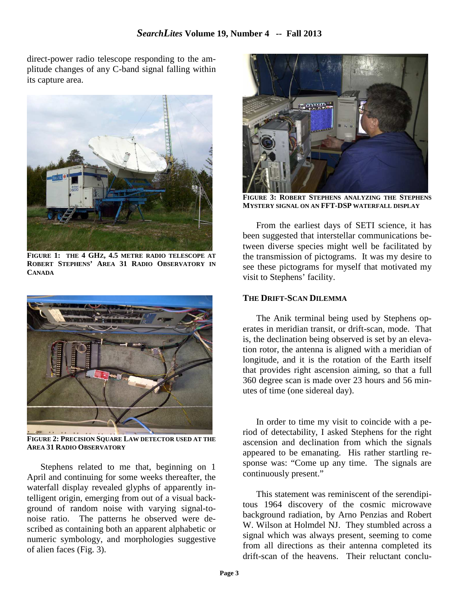direct-power radio telescope responding to the amplitude changes of any C-band signal falling within its capture area.



**FIGURE 1: THE 4 GHZ, 4.5 METRE RADIO TELESCOPE AT ROBERT STEPHENS' AREA 31 RADIO OBSERVATORY IN CANADA**



**FIGURE 2: PRECISION SQUARE LAW DETECTOR USED AT THE AREA 31 RADIO OBSERVATORY**

Stephens related to me that, beginning on 1 April and continuing for some weeks thereafter, the waterfall display revealed glyphs of apparently intelligent origin, emerging from out of a visual background of random noise with varying signal-tonoise ratio. The patterns he observed were described as containing both an apparent alphabetic or numeric symbology, and morphologies suggestive of alien faces (Fig. 3).



**FIGURE 3: ROBERT STEPHENS ANALYZING THE STEPHENS MYSTERY SIGNAL ON AN FFT-DSP WATERFALL DISPLAY**

From the earliest days of SETI science, it has been suggested that interstellar communications between diverse species might well be facilitated by the transmission of pictograms. It was my desire to see these pictograms for myself that motivated my visit to Stephens' facility.

#### **THE DRIFT-SCAN DILEMMA**

The Anik terminal being used by Stephens operates in meridian transit, or drift-scan, mode. That is, the declination being observed is set by an elevation rotor, the antenna is aligned with a meridian of longitude, and it is the rotation of the Earth itself that provides right ascension aiming, so that a full 360 degree scan is made over 23 hours and 56 minutes of time (one sidereal day).

In order to time my visit to coincide with a period of detectability, I asked Stephens for the right ascension and declination from which the signals appeared to be emanating. His rather startling response was: "Come up any time. The signals are continuously present."

This statement was reminiscent of the serendipitous 1964 discovery of the cosmic microwave background radiation, by Arno Penzias and Robert W. Wilson at Holmdel NJ. They stumbled across a signal which was always present, seeming to come from all directions as their antenna completed its drift-scan of the heavens. Their reluctant conclu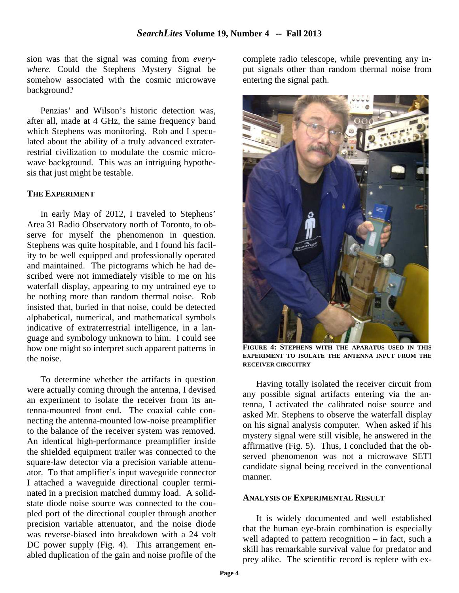sion was that the signal was coming from *everywhere.* Could the Stephens Mystery Signal be somehow associated with the cosmic microwave background?

Penzias' and Wilson's historic detection was, after all, made at 4 GHz, the same frequency band which Stephens was monitoring. Rob and I speculated about the ability of a truly advanced extraterrestrial civilization to modulate the cosmic microwave background. This was an intriguing hypothesis that just might be testable.

#### **THE EXPERIMENT**

In early May of 2012, I traveled to Stephens' Area 31 Radio Observatory north of Toronto, to observe for myself the phenomenon in question. Stephens was quite hospitable, and I found his facility to be well equipped and professionally operated and maintained. The pictograms which he had described were not immediately visible to me on his waterfall display, appearing to my untrained eye to be nothing more than random thermal noise. Rob insisted that, buried in that noise, could be detected alphabetical, numerical, and mathematical symbols indicative of extraterrestrial intelligence, in a language and symbology unknown to him. I could see how one might so interpret such apparent patterns in the noise.

To determine whether the artifacts in question were actually coming through the antenna, I devised an experiment to isolate the receiver from its antenna-mounted front end. The coaxial cable connecting the antenna-mounted low-noise preamplifier to the balance of the receiver system was removed. An identical high-performance preamplifier inside the shielded equipment trailer was connected to the square-law detector via a precision variable attenuator. To that amplifier's input waveguide connector I attached a waveguide directional coupler terminated in a precision matched dummy load. A solidstate diode noise source was connected to the coupled port of the directional coupler through another precision variable attenuator, and the noise diode was reverse-biased into breakdown with a 24 volt DC power supply (Fig. 4). This arrangement enabled duplication of the gain and noise profile of the complete radio telescope, while preventing any input signals other than random thermal noise from entering the signal path.



**FIGURE 4: STEPHENS WITH THE APARATUS USED IN THIS EXPERIMENT TO ISOLATE THE ANTENNA INPUT FROM THE RECEIVER CIRCUITRY**

Having totally isolated the receiver circuit from any possible signal artifacts entering via the antenna, I activated the calibrated noise source and asked Mr. Stephens to observe the waterfall display on his signal analysis computer. When asked if his mystery signal were still visible, he answered in the affirmative (Fig. 5). Thus, I concluded that the observed phenomenon was not a microwave SETI candidate signal being received in the conventional manner.

#### **ANALYSIS OF EXPERIMENTAL RESULT**

It is widely documented and well established that the human eye-brain combination is especially well adapted to pattern recognition – in fact, such a skill has remarkable survival value for predator and prey alike. The scientific record is replete with ex-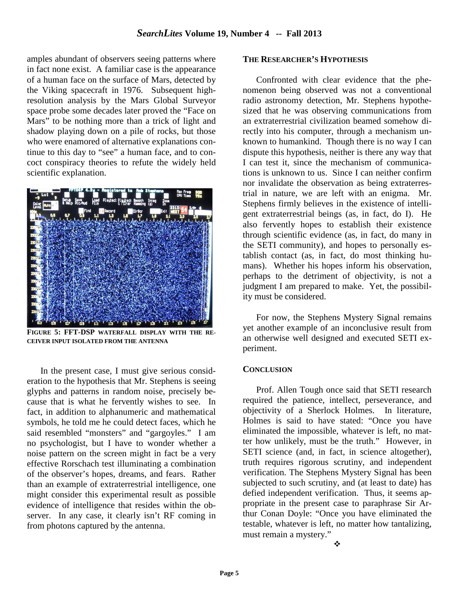amples abundant of observers seeing patterns where in fact none exist. A familiar case is the appearance of a human face on the surface of Mars, detected by the Viking spacecraft in 1976. Subsequent highresolution analysis by the Mars Global Surveyor space probe some decades later proved the "Face on Mars" to be nothing more than a trick of light and shadow playing down on a pile of rocks, but those who were enamored of alternative explanations continue to this day to "see" a human face, and to concoct conspiracy theories to refute the widely held scientific explanation.



**FIGURE 5: FFT-DSP WATERFALL DISPLAY WITH THE RE-CEIVER INPUT ISOLATED FROM THE ANTENNA**

In the present case, I must give serious consideration to the hypothesis that Mr. Stephens is seeing glyphs and patterns in random noise, precisely because that is what he fervently wishes to see. In fact, in addition to alphanumeric and mathematical symbols, he told me he could detect faces, which he said resembled "monsters" and "gargoyles." I am no psychologist, but I have to wonder whether a noise pattern on the screen might in fact be a very effective Rorschach test illuminating a combination of the observer's hopes, dreams, and fears. Rather than an example of extraterrestrial intelligence, one might consider this experimental result as possible evidence of intelligence that resides within the observer. In any case, it clearly isn't RF coming in from photons captured by the antenna.

#### **THE RESEARCHER'S HYPOTHESIS**

Confronted with clear evidence that the phenomenon being observed was not a conventional radio astronomy detection, Mr. Stephens hypothesized that he was observing communications from an extraterrestrial civilization beamed somehow directly into his computer, through a mechanism unknown to humankind. Though there is no way I can dispute this hypothesis, neither is there any way that I can test it, since the mechanism of communications is unknown to us. Since I can neither confirm nor invalidate the observation as being extraterrestrial in nature, we are left with an enigma. Mr. Stephens firmly believes in the existence of intelligent extraterrestrial beings (as, in fact, do I). He also fervently hopes to establish their existence through scientific evidence (as, in fact, do many in the SETI community), and hopes to personally establish contact (as, in fact, do most thinking humans). Whether his hopes inform his observation, perhaps to the detriment of objectivity, is not a judgment I am prepared to make. Yet, the possibility must be considered.

For now, the Stephens Mystery Signal remains yet another example of an inconclusive result from an otherwise well designed and executed SETI experiment.

#### **CONCLUSION**

Prof. Allen Tough once said that SETI research required the patience, intellect, perseverance, and objectivity of a Sherlock Holmes. In literature, Holmes is said to have stated: "Once you have eliminated the impossible, whatever is left, no matter how unlikely, must be the truth." However, in SETI science (and, in fact, in science altogether), truth requires rigorous scrutiny, and independent verification. The Stephens Mystery Signal has been subjected to such scrutiny, and (at least to date) has defied independent verification. Thus, it seems appropriate in the present case to paraphrase Sir Arthur Conan Doyle: "Once you have eliminated the testable, whatever is left, no matter how tantalizing, must remain a mystery."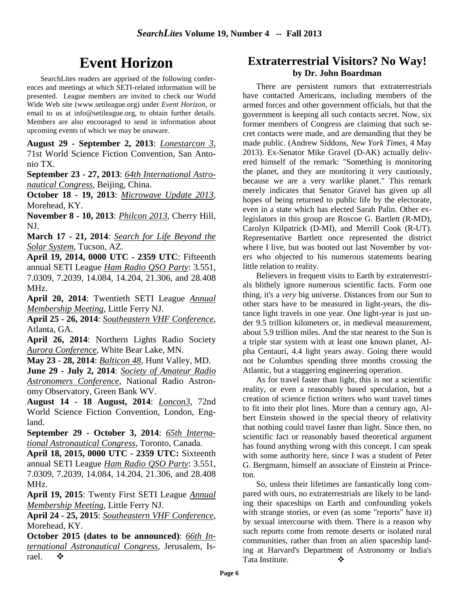## **Event Horizon**

SearchLites readers are apprised of the following conferences and meetings at which SETI-related information will be presented. League members are invited to check our World Wide Web site (www.setileague.org) under *Event Horizon*, or email to us at info@setileague.org, to obtain further details. Members are also encouraged to send in information about upcoming events of which we may be unaware.

**August 29 - September 2, 2013**: *Lonestarcon 3*, 71st World Science Fiction Convention, San Antonio TX.

**September 23 - 27, 2013**: *64th International Astronautical Congress*, Beijing, China.

**October 18 - 19, 2013**: *Microwave Update 2013*, Morehead, KY.

**November 8 - 10, 2013**: *Philcon 2013*, Cherry Hill, NJ.

**March 17 - 21, 2014**: *Search for Life Beyond the Solar System*, Tucson, AZ.

**April 19, 2014, 0000 UTC - 2359 UTC**: Fifteenth annual SETI League *Ham Radio QSO Party*: 3.551, 7.0309, 7.2039, 14.084, 14.204, 21.306, and 28.408 MHz.

**April 20, 2014**: Twentieth SETI League *Annual Membership Meeting*, Little Ferry NJ.

**April 25 - 26, 2014**: *Southeastern VHF Conference*, Atlanta, GA.

**April 26, 2014**: Northern Lights Radio Society *Aurora Conference*, White Bear Lake, MN.

**May 23 - 28, 2014**: *Balticon 48*, Hunt Valley, MD.

**June 29 - July 2, 2014**: *Society of Amateur Radio Astronomers Conference*, National Radio Astronomy Observatory, Green Bank WV.

**August 14 - 18 August, 2014**: *Loncon3*, 72nd World Science Fiction Convention, London, England.

**September 29 - October 3, 2014**: *65th International Astronautical Congress*, Toronto, Canada.

**April 18, 2015, 0000 UTC - 2359 UTC:** Sixteenth annual SETI League *Ham Radio QSO Party*: 3.551, 7.0309, 7.2039, 14.084, 14.204, 21.306, and 28.408 MHz.

**April 19, 2015**: Twenty First SETI League *Annual Membership Meeting*, Little Ferry NJ.

**April 24 - 25, 2015**: *Southeastern VHF Conference*, Morehead, KY.

**October 2015 (dates to be announced)**: *66th International Astronautical Congress*, Jerusalem, Israel.  $\bullet$ 

## **Extraterrestrial Visitors? No Way! by Dr. John Boardman**

There are persistent rumors that extraterrestrials have contacted Americans, including members of the armed forces and other government officials, but that the government is keeping all such contacts secret. Now, six former members of Congress are claiming that such secret contacts were made, and are demanding that they be made public. (Andrew Siddons, *New York Times*, 4 May 2013). Ex-Senator Mike Gravel (D-AK) actually delivered himself of the remark: "Something is monitoring the planet, and they are monitoring it very cautiously, because we are a very warlike planet." This remark merely indicates that Senator Gravel has given up all hopes of being returned to public life by the electorate, even in a state which has elected Sarah Palin. Other exlegislators in this group are Roscoe G. Bartlett (R-MD), Carolyn Kilpatrick (D-MI), and Merrill Cook (R-UT). Representative Bartlett once represented the district where I live, but was booted out last November by voters who objected to his numerous statements bearing little relation to reality.

Believers in frequent visits to Earth by extraterrestrials blithely ignore numerous scientific facts. Form one thing, it's a *very* big universe. Distances from our Sun to other stars have to be measured in light-years, the distance light travels in one year. One light-year is just under 9.5 trillion kilometers or, in medieval measurement, about 5.9 trillion miles. And the star nearest to the Sun is a triple star system with at least one known planet, Alpha Centauri, 4.4 light years away. Going there would not be Columbus spending three months crossing the Atlantic, but a staggering engineering operation.

As for travel faster than light, this is not a scientific reality, or even a reasonably based speculation, but a creation of science fiction writers who want travel times to fit into their plot lines. More than a century ago, Albert Einstein showed in the special theory of relativity that nothing could travel faster than light. Since then, no scientific fact or reasonably based theoretical argument has found anything wrong with this concept. I can speak with some authority here, since I was a student of Peter G. Bergmann, himself an associate of Einstein at Princeton.

So, unless their lifetimes are fantastically long compared with ours, no extraterrestrials are likely to be landing their spaceships on Earth and confounding yokels with strange stories, or even (as some "reports" have it) by sexual intercourse with them. There is a reason why such reports come from remote deserts or isolated rural communities, rather than from an alien spaceship landing at Harvard's Department of Astronomy or India's Tata Institute.  $\bullet$  →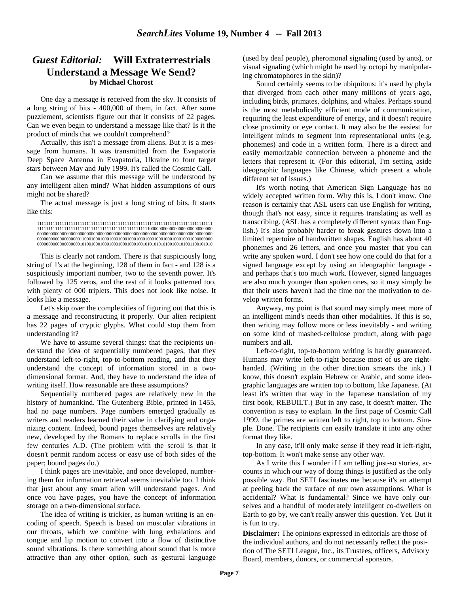#### *Guest Editorial:* **Will Extraterrestrials Understand a Message We Send? by Michael Chorost**

One day a message is received from the sky. It consists of a long string of bits - 400,000 of them, in fact. After some puzzlement, scientists figure out that it consists of 22 pages. Can we even begin to understand a message like that? Is it the product of minds that we couldn't comprehend?

Actually, this isn't a message from aliens. But it is a message from humans. It was transmitted from the Evapatoria Deep Space Antenna in Evapatoria, Ukraine to four target stars between May and July 1999. It's called the Cosmic Call.

Can we assume that this message will be understood by any intelligent alien mind? What hidden assumptions of ours might not be shared?

The actual message is just a long string of bits. It starts like this:

111111111111111111111111111111111111111111111111111111111111111111111111111111 111111111111111111111111111111111111111111111111110000000000000000000000000000 000000000000000000000000000000000000000000000000000000000000000000000000000000 000000000000000000011000100010001000100010001000100010001000100010001000000000 000000000000000000010100100010001000100010001001010101010100100101001100101010

This is clearly not random. There is that suspiciously long string of 1's at the beginning, 128 of them in fact - and 128 is a suspiciously important number, two to the seventh power. It's followed by 125 zeros, and the rest of it looks patterned too, with plenty of 000 triplets. This does not look like noise. It looks like a message.

Let's skip over the complexities of figuring out that this is a message and reconstructing it properly. Our alien recipient has 22 pages of cryptic glyphs. What could stop them from understanding it?

We have to assume several things: that the recipients understand the idea of sequentially numbered pages, that they understand left-to-right, top-to-bottom reading, and that they understand the concept of information stored in a twodimensional format. And, they have to understand the idea of writing itself. How reasonable are these assumptions?

Sequentially numbered pages are relatively new in the history of humankind. The Gutenberg Bible, printed in 1455, had no page numbers. Page numbers emerged gradually as writers and readers learned their value in clarifying and organizing content. Indeed, bound pages themselves are relatively new, developed by the Romans to replace scrolls in the first few centuries A.D. (The problem with the scroll is that it doesn't permit random access or easy use of both sides of the paper; bound pages do.)

I think pages are inevitable, and once developed, numbering them for information retrieval seems inevitable too. I think that just about any smart alien will understand pages. And once you have pages, you have the concept of information storage on a two-dimensional surface.

The idea of writing is trickier, as human writing is an encoding of speech. Speech is based on muscular vibrations in our throats, which we combine with lung exhalations and tongue and lip motion to convert into a flow of distinctive sound vibrations. Is there something about sound that is more attractive than any other option, such as gestural language

(used by deaf people), pheromonal signaling (used by ants), or visual signaling (which might be used by octopi by manipulating chromatophores in the skin)?

Sound certainly seems to be ubiquitous: it's used by phyla that diverged from each other many millions of years ago, including birds, primates, dolphins, and whales. Perhaps sound is the most metabolically efficient mode of communication, requiring the least expenditure of energy, and it doesn't require close proximity or eye contact. It may also be the easiest for intelligent minds to segment into representational units (e.g. phonemes) and code in a written form. There is a direct and easily memorizable connection between a phoneme and the letters that represent it. (For this editorial, I'm setting aside ideographic languages like Chinese, which present a whole different set of issues.)

It's worth noting that American Sign Language has no widely accepted written form. Why this is, I don't know. One reason is certainly that ASL users can use English for writing, though that's not easy, since it requires translating as well as transcribing. (ASL has a completely different syntax than English.) It's also probably harder to break gestures down into a limited repertoire of handwritten shapes. English has about 40 phonemes and 26 letters, and once you master that you can write any spoken word. I don't see how one could do that for a signed language except by using an ideographic language and perhaps that's too much work. However, signed languages are also much younger than spoken ones, so it may simply be that their users haven't had the time nor the motivation to develop written forms.

Anyway, my point is that sound may simply meet more of an intelligent mind's needs than other modalities. If this is so, then writing may follow more or less inevitably - and writing on some kind of mashed-cellulose product, along with page numbers and all.

Left-to-right, top-to-bottom writing is hardly guaranteed. Humans may write left-to-right because most of us are righthanded. (Writing in the other direction smears the ink.) I know, this doesn't explain Hebrew or Arabic, and some ideographic languages are written top to bottom, like Japanese. (At least it's written that way in the Japanese translation of my first book, REBUILT.) But in any case, it doesn't matter. The convention is easy to explain. In the first page of Cosmic Call 1999, the primes are written left to right, top to bottom. Simple. Done. The recipients can easily translate it into any other format they like.

In any case, it'll only make sense if they read it left-right, top-bottom. It won't make sense any other way.

As I write this I wonder if I am telling just-so stories, accounts in which our way of doing things is justified as the only possible way. But SETI fascinates me because it's an attempt at peeling back the surface of our own assumptions. What is accidental? What is fundamental? Since we have only ourselves and a handful of moderately intelligent co-dwellers on Earth to go by, we can't really answer this question. Yet. But it is fun to try.

**Disclaimer:** The opinions expressed in editorials are those of the individual authors, and do not necessarily reflect the position of The SETI League, Inc., its Trustees, officers, Advisory Board, members, donors, or commercial sponsors.